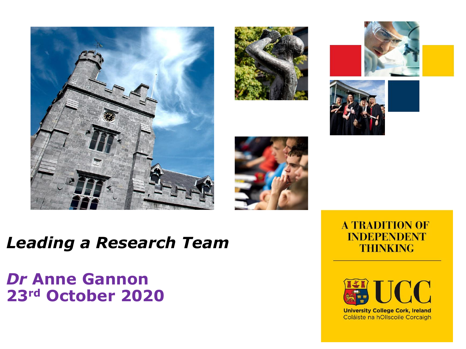











#### *Leading a Research Team*

#### *Dr* **Anne Gannon 23rd October 2020**





**University College Cork, Ireland** Coláiste na hOllscoile Corcaigh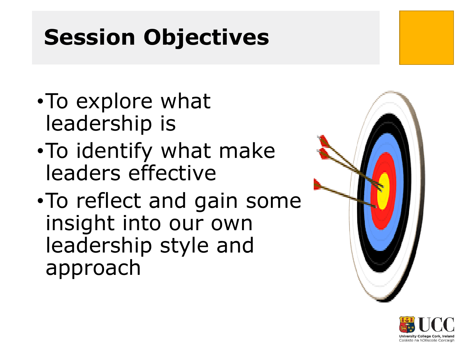## **Session Objectives**

- •To explore what leadership is
- •To identify what make leaders effective
- •To reflect and gain some insight into our own leadership style and approach



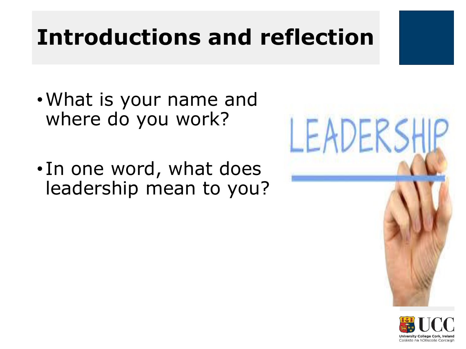## **Introductions and reflection**

- •What is your name and where do you work?
- In one word, what does leadership mean to you?



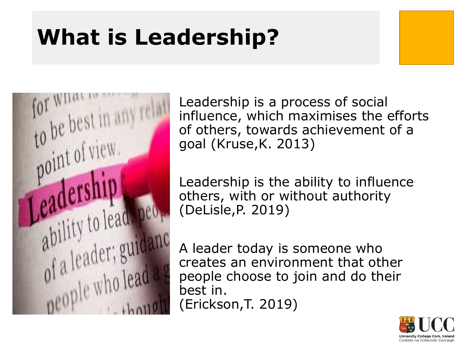## **What is Leadership?**



Leadership is a process of social influence, which maximises the efforts of others, towards achievement of a goal (Kruse,K. 2013)

Leadership is the ability to influence others, with or without authority (DeLisle,P. 2019)

A leader today is someone who creates an environment that other people choose to join and do their best in. (Erickson,T. 2019)

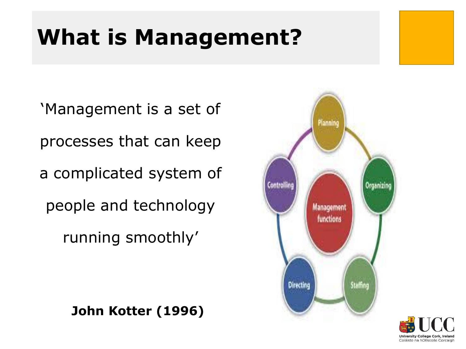## **What is Management?**

'Management is a set of processes that can keep a complicated system of people and technology running smoothly'

**John Kotter (1996)**



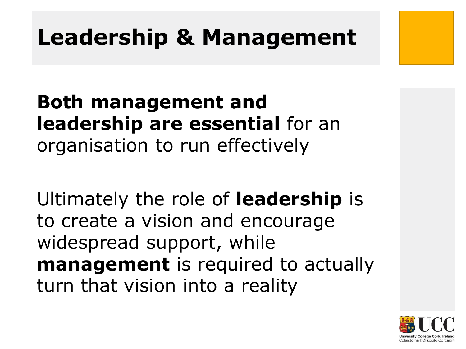### **Leadership & Management**

**Both management and leadership are essential** for an organisation to run effectively

Ultimately the role of **leadership** is to create a vision and encourage widespread support, while **management** is required to actually turn that vision into a reality

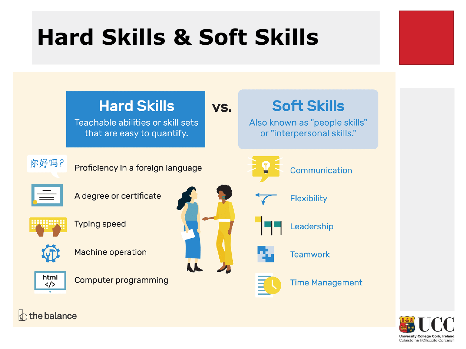## **Hard Skills & Soft Skills**



**University College Corl** Coláiste na hOllscoile Corcaigh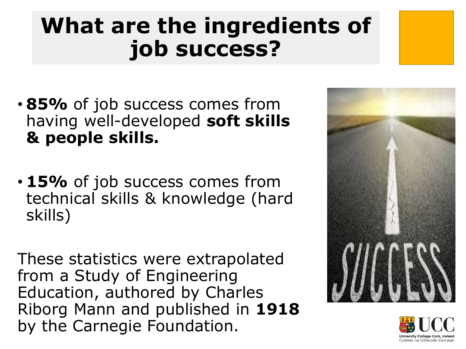## **What are the ingredients of job success?**

- **85%** of job success comes from having well-developed **soft skills & people skills.**
- **15%** of job success comes from technical skills & knowledge (hard skills)

These statistics were extrapolated from a Study of Engineering Education, authored by Charles Riborg Mann and published in **1918**  by the Carnegie Foundation.



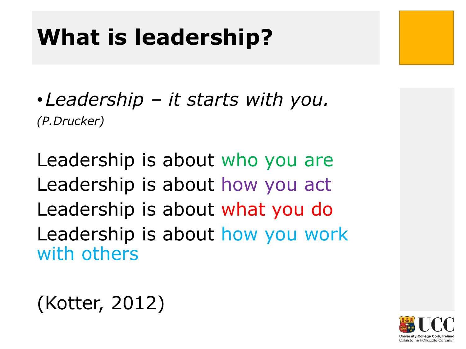### **What is leadership?**

•*Leadership – it starts with you. (P.Drucker)*

Leadership is about who you are Leadership is about how you act Leadership is about what you do Leadership is about how you work with others

### (Kotter, 2012)

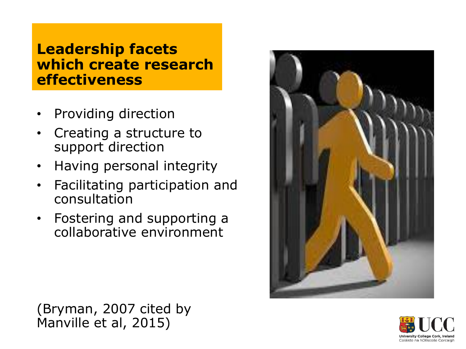#### **Leadership facets which create research effectiveness**

- Providing direction
- Creating a structure to support direction
- Having personal integrity
- Facilitating participation and consultation
- Fostering and supporting a collaborative environment





(Bryman, 2007 cited by Manville et al, 2015)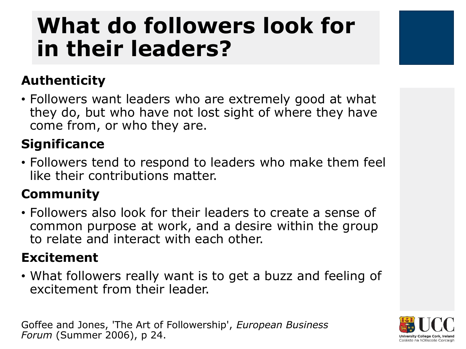## **What do followers look for in their leaders?**

#### **Authenticity**

• Followers want leaders who are extremely good at what they do, but who have not lost sight of where they have come from, or who they are.

#### **Significance**

• Followers tend to respond to leaders who make them feel like their contributions matter.

#### **Community**

• Followers also look for their leaders to create a sense of common purpose at work, and a desire within the group to relate and interact with each other.

#### **Excitement**

• What followers really want is to get a buzz and feeling of excitement from their leader.

Goffee and Jones, 'The Art of Followership', *European Business Forum* (Summer 2006), p 24.

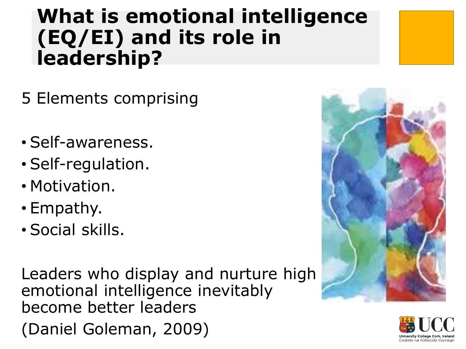#### **What is emotional intelligence (EQ/EI) and its role in leadership?**

- 5 Elements comprising
- Self-awareness.
- Self-regulation.
- Motivation.
- Empathy.
- Social skills.

Leaders who display and nurture high emotional intelligence inevitably become better leaders (Daniel Goleman, 2009)



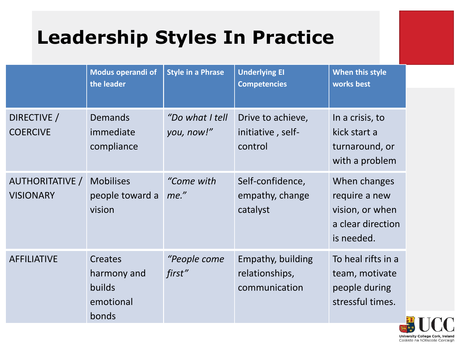### **Leadership Styles In Practice**

|                                            | Modus operandi of<br>the leader                             | <b>Style in a Phrase</b>      | <b>Underlying EI</b><br><b>Competencies</b>          | When this style<br>works best                                                       |            |
|--------------------------------------------|-------------------------------------------------------------|-------------------------------|------------------------------------------------------|-------------------------------------------------------------------------------------|------------|
|                                            |                                                             |                               |                                                      |                                                                                     |            |
| DIRECTIVE /<br><b>COERCIVE</b>             | <b>Demands</b><br>immediate<br>compliance                   | "Do what I tell<br>you, now!" | Drive to achieve,<br>initiative, self-<br>control    | In a crisis, to<br>kick start a<br>turnaround, or<br>with a problem                 |            |
| <b>AUTHORITATIVE /</b><br><b>VISIONARY</b> | <b>Mobilises</b><br>people toward a<br>vision               | "Come with<br>me."            | Self-confidence,<br>empathy, change<br>catalyst      | When changes<br>require a new<br>vision, or when<br>a clear direction<br>is needed. |            |
| <b>AFFILIATIVE</b>                         | <b>Creates</b><br>harmony and<br><b>builds</b><br>emotional | "People come<br>first"        | Empathy, building<br>relationships,<br>communication | To heal rifts in a<br>team, motivate<br>people during<br>stressful times.           |            |
|                                            | bonds                                                       |                               |                                                      |                                                                                     | <b>EAT</b> |

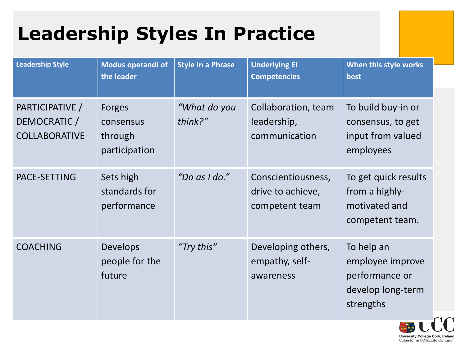### **Leadership Styles In Practice**

| <b>Leadership Style</b>                                 | Modus operandi of<br>the leader                        | <b>Style in a Phrase</b> | <b>Underlying EI</b><br><b>Competencies</b>               | When this style works<br>best                                                      |                    |
|---------------------------------------------------------|--------------------------------------------------------|--------------------------|-----------------------------------------------------------|------------------------------------------------------------------------------------|--------------------|
| PARTICIPATIVE /<br>DEMOCRATIC /<br><b>COLLABORATIVE</b> | <b>Forges</b><br>consensus<br>through<br>participation | "What do you<br>think?"  | Collaboration, team<br>leadership,<br>communication       | To build buy-in or<br>consensus, to get<br>input from valued<br>employees          |                    |
| PACE-SETTING                                            | Sets high<br>standards for<br>performance              | "Do as I do."            | Conscientiousness,<br>drive to achieve,<br>competent team | To get quick results<br>from a highly-<br>motivated and<br>competent team.         |                    |
| <b>COACHING</b>                                         | <b>Develops</b><br>people for the<br>future            | "Try this"               | Developing others,<br>empathy, self-<br>awareness         | To help an<br>employee improve<br>performance or<br>develop long-term<br>strengths | $\curvearrowright$ |

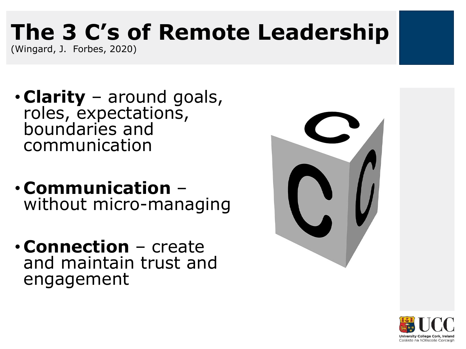# **The 3 C's of Remote Leadership**

(Wingard, J. Forbes, 2020)

- **Clarity** around goals, roles, expectations, boundaries and communication
- **Communication** without micro-managing
- **Connection** create and maintain trust and engagement